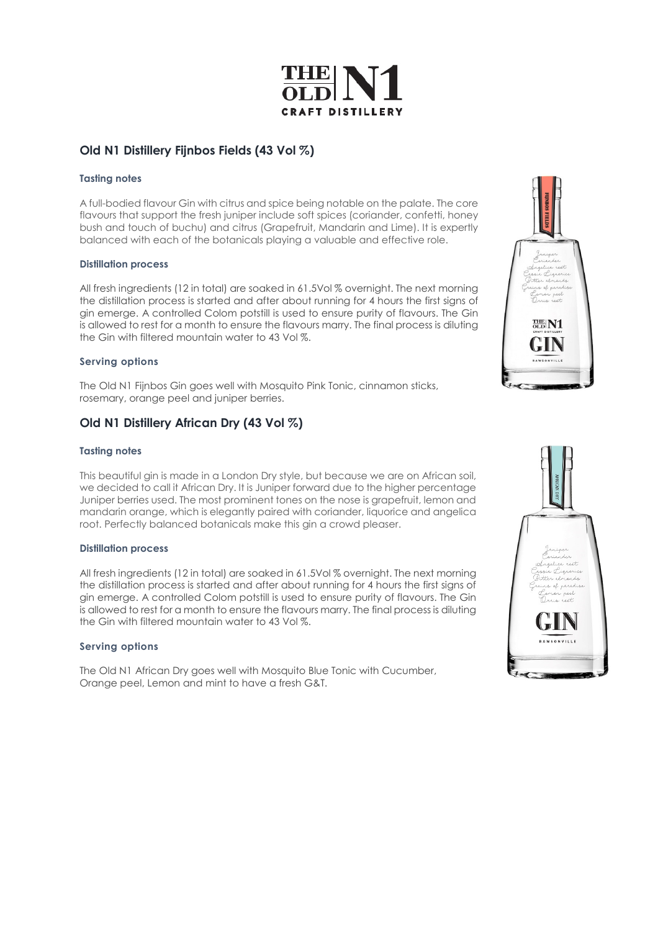

# **Old N1 Distillery Fijnbos Fields (43 Vol %)**

### **Tasting notes**

A full-bodied flavour Gin with citrus and spice being notable on the palate. The core flavours that support the fresh juniper include soft spices (coriander, confetti, honey bush and touch of buchu) and citrus (Grapefruit, Mandarin and Lime). It is expertly balanced with each of the botanicals playing a valuable and effective role.

#### **Distillation process**

All fresh ingredients (12 in total) are soaked in 61.5Vol % overnight. The next morning the distillation process is started and after about running for 4 hours the first signs of gin emerge. A controlled Colom potstill is used to ensure purity of flavours. The Gin is allowed to rest for a month to ensure the flavours marry. The final process is diluting the Gin with filtered mountain water to 43 Vol %.

### **Serving options**

The Old N1 Fijnbos Gin goes well with Mosquito Pink Tonic, cinnamon sticks, rosemary, orange peel and juniper berries.

# **Old N1 Distillery African Dry (43 Vol %)**

#### **Tasting notes**

This beautiful gin is made in a London Dry style, but because we are on African soil, we decided to call it African Dry. It is Juniper forward due to the higher percentage Juniper berries used. The most prominent tones on the nose is grapefruit, lemon and mandarin orange, which is elegantly paired with coriander, liquorice and angelica root. Perfectly balanced botanicals make this gin a crowd pleaser.

#### **Distillation process**

All fresh ingredients (12 in total) are soaked in 61.5Vol % overnight. The next morning the distillation process is started and after about running for 4 hours the first signs of gin emerge. A controlled Colom potstill is used to ensure purity of flavours. The Gin is allowed to rest for a month to ensure the flavours marry. The final process is diluting the Gin with filtered mountain water to 43 Vol %.

#### **Serving options**

The Old N1 African Dry goes well with Mosquito Blue Tonic with Cucumber, Orange peel, Lemon and mint to have a fresh G&T.